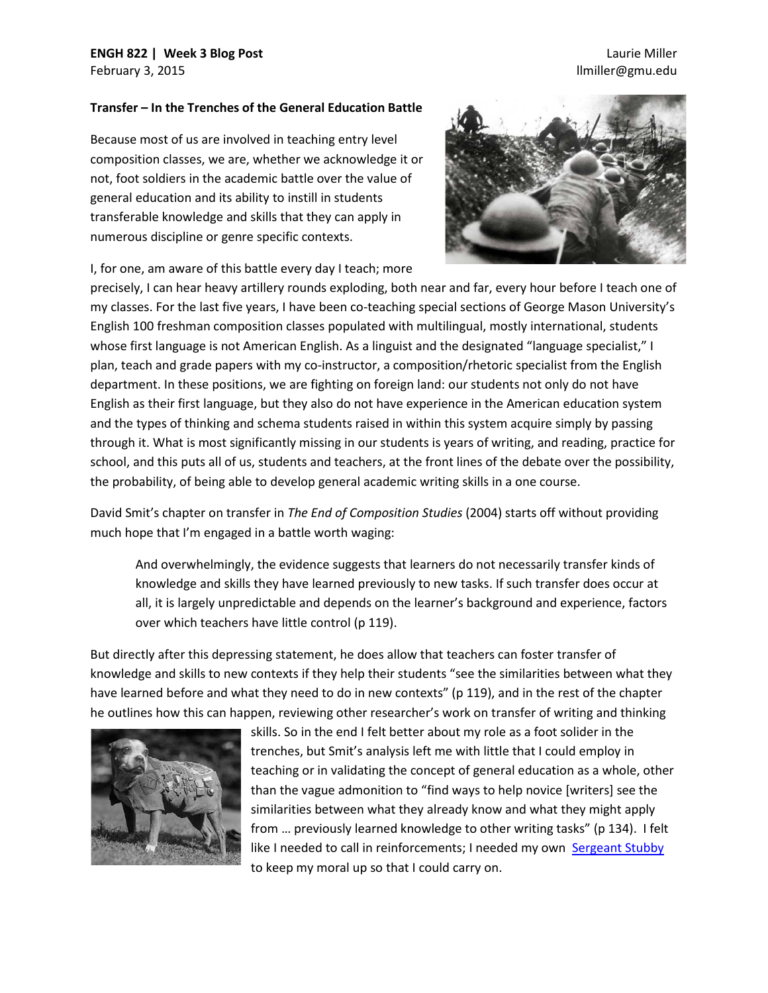# **ENGH 822 | Week 3 Blog Post** February 3, 2015

## Laurie Miller llmiller@gmu.edu

#### **Transfer – In the Trenches of the General Education Battle**

Because most of us are involved in teaching entry level composition classes, we are, whether we acknowledge it or not, foot soldiers in the academic battle over the value of general education and its ability to instill in students transferable knowledge and skills that they can apply in numerous discipline or genre specific contexts.



I, for one, am aware of this battle every day I teach; more

precisely, I can hear heavy artillery rounds exploding, both near and far, every hour before I teach one of my classes. For the last five years, I have been co-teaching special sections of George Mason University's English 100 freshman composition classes populated with multilingual, mostly international, students whose first language is not American English. As a linguist and the designated "language specialist," I plan, teach and grade papers with my co-instructor, a composition/rhetoric specialist from the English department. In these positions, we are fighting on foreign land: our students not only do not have English as their first language, but they also do not have experience in the American education system and the types of thinking and schema students raised in within this system acquire simply by passing through it. What is most significantly missing in our students is years of writing, and reading, practice for school, and this puts all of us, students and teachers, at the front lines of the debate over the possibility, the probability, of being able to develop general academic writing skills in a one course.

David Smit's chapter on transfer in *The End of Composition Studies* (2004) starts off without providing much hope that I'm engaged in a battle worth waging:

And overwhelmingly, the evidence suggests that learners do not necessarily transfer kinds of knowledge and skills they have learned previously to new tasks. If such transfer does occur at all, it is largely unpredictable and depends on the learner's background and experience, factors over which teachers have little control (p 119).

But directly after this depressing statement, he does allow that teachers can foster transfer of knowledge and skills to new contexts if they help their students "see the similarities between what they have learned before and what they need to do in new contexts" (p 119), and in the rest of the chapter he outlines how this can happen, reviewing other researcher's work on transfer of writing and thinking



skills. So in the end I felt better about my role as a foot solider in the trenches, but Smit's analysis left me with little that I could employ in teaching or in validating the concept of general education as a whole, other than the vague admonition to "find ways to help novice [writers] see the similarities between what they already know and what they might apply from … previously learned knowledge to other writing tasks" (p 134). I felt like I needed to call in reinforcements; I needed my ow[n Sergeant](http://en.wikipedia.org/wiki/Sergeant_Stubby) Stubby to keep my moral up so that I could carry on.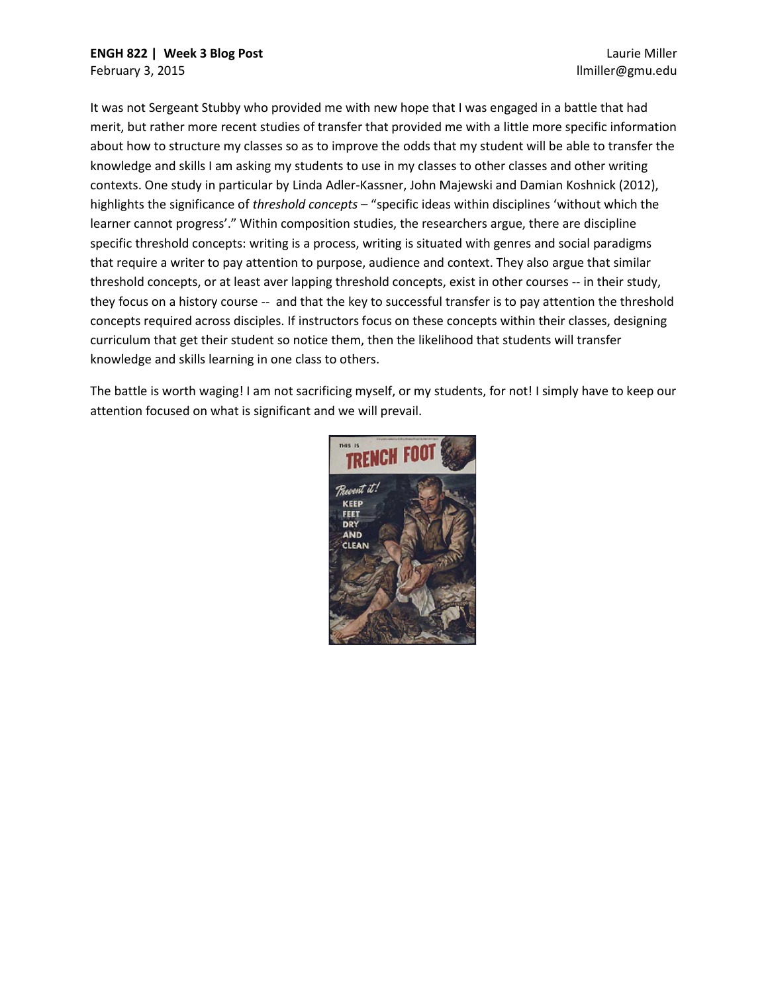It was not Sergeant Stubby who provided me with new hope that I was engaged in a battle that had merit, but rather more recent studies of transfer that provided me with a little more specific information about how to structure my classes so as to improve the odds that my student will be able to transfer the knowledge and skills I am asking my students to use in my classes to other classes and other writing contexts. One study in particular by Linda Adler-Kassner, John Majewski and Damian Koshnick (2012), highlights the significance of *threshold concepts* – "specific ideas within disciplines 'without which the learner cannot progress'." Within composition studies, the researchers argue, there are discipline specific threshold concepts: writing is a process, writing is situated with genres and social paradigms that require a writer to pay attention to purpose, audience and context. They also argue that similar threshold concepts, or at least aver lapping threshold concepts, exist in other courses -- in their study, they focus on a history course -- and that the key to successful transfer is to pay attention the threshold concepts required across disciples. If instructors focus on these concepts within their classes, designing curriculum that get their student so notice them, then the likelihood that students will transfer knowledge and skills learning in one class to others.

The battle is worth waging! I am not sacrificing myself, or my students, for not! I simply have to keep our attention focused on what is significant and we will prevail.